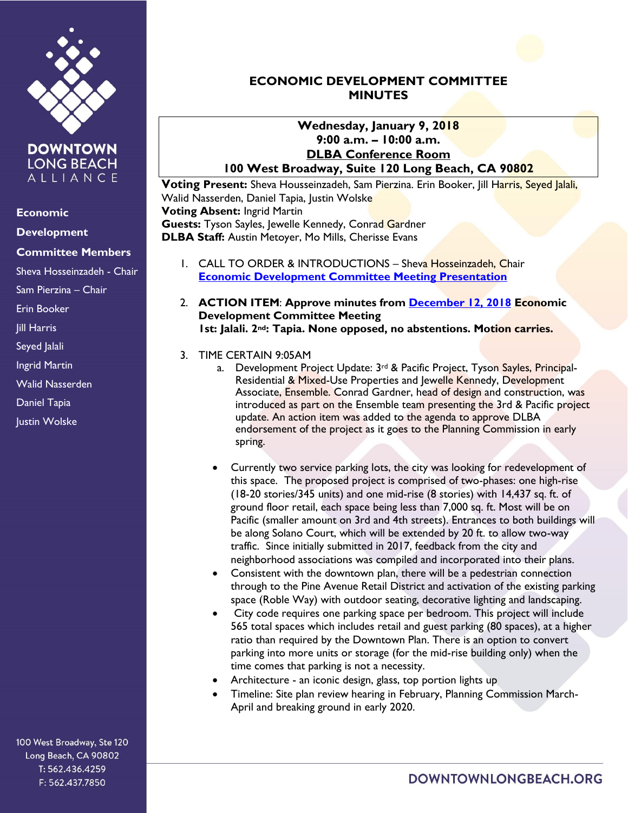

**DOWNTOWN LONG BEACH** ALLIANCE

#### **Economic**

## **Development**

### **Committee Members**

Sheva Hosseinzadeh - Chair

Sam Pierzina – Chair

Erin Booker

Jill Harris

Seyed Jalali

Ingrid Martin

Walid Nasserden

Daniel Tapia

Justin Wolske

100 West Broadway, Ste 120 Long Beach, CA 90802 T: 562.436.4259 F: 562.437.7850

# **ECONOMIC DEVELOPMENT COMMITTEE MINUTES**

## **Wednesday, January 9, 2018 9:00 a.m. – 10:00 a.m. DLBA Conference Room 100 West Broadway, Suite 120 Long Beach, CA 90802**

**Voting Present:** Sheva Housseinzadeh, Sam Pierzina. Erin Booker, Jill Harris, Seyed Jalali, Walid Nasserden, Daniel Tapia, Justin Wolske **Voting Absent:** Ingrid Martin Guests: Tyson Sayles, Jewelle Kennedy, Conrad Gardner **DLBA Staff:** Austin Metoyer, Mo Mills, Cherisse Evans

- 1. CALL TO ORDER & INTRODUCTIONS Sheva Hosseinzadeh, Chair **[Economic Development Committee Meeting Presentation](https://drive.google.com/file/d/17Motck0Z_JX83yxwowyCpDHUZimNact6/view?usp=sharing)**
- 2. **ACTION ITEM**: **Approve minutes from [December 12, 2018](https://downtownlongbeach.org/wp-content/uploads/ED-Minutes-12-12-18.pdf) Economic Development Committee Meeting 1st: Jalali. 2nd: Tapia. None opposed, no abstentions. Motion carries.**

### 3. TIME CERTAIN 9:05AM

- a. Development Project Update: 3<sup>rd</sup> & Pacific Project, Tyson Sayles, Principal-Residential & Mixed-Use Properties and Jewelle Kennedy, Development Associate, Ensemble. Conrad Gardner, head of design and construction, was introduced as part on the Ensemble team presenting the 3rd & Pacific project update. An action item was added to the agenda to approve DLBA endorsement of the project as it goes to the Planning Commission in early spring.
- Currently two service parking lots, the city was looking for redevelopment of this space. The proposed project is comprised of two-phases: one high-rise (18-20 stories/345 units) and one mid-rise (8 stories) with 14,437 sq. ft. of ground floor retail, each space being less than 7,000 sq. ft. Most will be on Pacific (smaller amount on 3rd and 4th streets). Entrances to both buildings will be along Solano Court, which will be extended by 20 ft. to allow two-way traffic. Since initially submitted in 2017, feedback from the city and neighborhood associations was compiled and incorporated into their plans.
- Consistent with the downtown plan, there will be a pedestrian connection through to the Pine Avenue Retail District and activation of the existing parking space (Roble Way) with outdoor seating, decorative lighting and landscaping.
- City code requires one parking space per bedroom. This project will include 565 total spaces which includes retail and guest parking (80 spaces), at a higher ratio than required by the Downtown Plan. There is an option to convert parking into more units or storage (for the mid-rise building only) when the time comes that parking is not a necessity.
- Architecture an iconic design, glass, top portion lights up
- Timeline: Site plan review hearing in February, Planning Commission March-April and breaking ground in early 2020.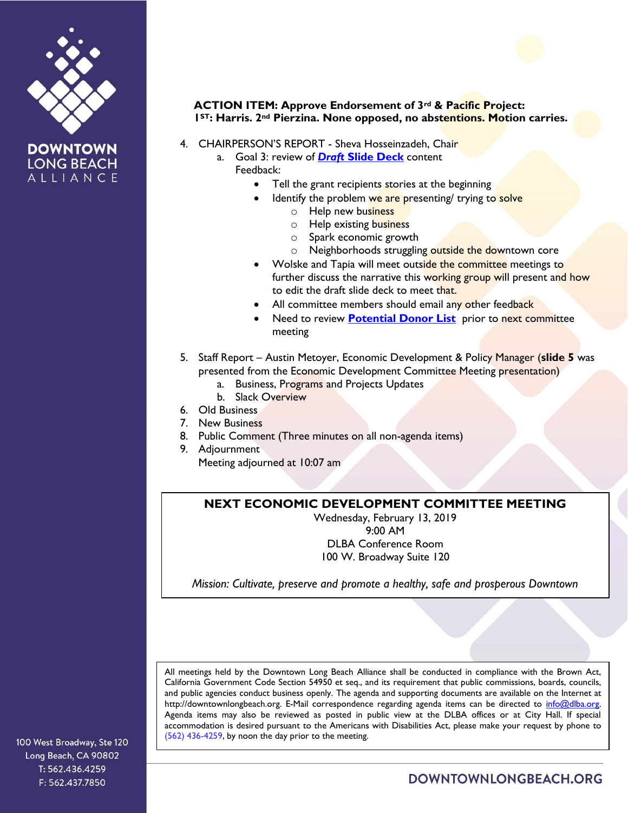





- 4. CHAIRPERSON'S REPORT Sheva Hosseinzadeh, Chair
	- a. Goal 3: review of *Draft* **[Slide Deck](https://drive.google.com/file/d/1sL8UtNEbs1L1Vk3ymMyUHuTh6-ye0geE/view?usp=sharing)** content Feedback:
		- Tell the grant recipients stories at the beginning
			- Identify the problem we are presenting/ trying to solve
				- o Help new business
				- o Help existing business
				- o Spark economic growth
				- o Neighborhoods struggling outside the downtown core
		- Wolske and Tapia will meet outside the committee meetings to further discuss the narrative this working group will present and how to edit the draft slide deck to meet that.
		- All committee members should email any other feedback
		- Need to review **[Potential Donor List](https://docs.google.com/spreadsheets/d/1m8a5wWP4Rh_kYGta4U8eEVhYht-1zRCyG_7Fq-HsazE/edit?usp=sharing)** prior to next committee meeting
- 5. Staff Report Austin Metoyer, Economic Development & Policy Manager (**slide 5** was presented from the Economic Development Committee Meeting presentation)
	- a. Business, Programs and Projects Updates
	- b. Slack Overview
- 6. Old Business
- 7. New Business
- 8. Public Comment (Three minutes on all non-agenda items)
- 9. Adjournment Meeting adjourned at 10:07 am

### **NEXT ECONOMIC DEVELOPMENT COMMITTEE MEETING**

Wednesday, February 13, 2019 9:00 AM DLBA Conference Room 100 W. Broadway Suite 120

*Mission: Cultivate, preserve and promote a healthy, safe and prosperous Downtown*

All meetings held by the Downtown Long Beach Alliance shall be conducted in compliance with the Brown Act, California Government Code Section 54950 et seq., and its requirement that public commissions, boards, councils, and public agencies conduct business openly. The agenda and supporting documents are available on the Internet at http://downtownlongbeach.org. E-Mail correspondence regarding agenda items can be directed to info@dlba.org. Agenda items may also be reviewed as posted in public view at the DLBA offices or at City Hall. If special accommodation is desired pursuant to the Americans with Disabilities Act, please make your request by phone to (562) 436-4259, by noon the day prior to the meeting.

100 West Broadway, Ste 120 Long Beach, CA 90802 T: 562.436.4259 F: 562.437.7850

DOWNTOWNLONGBEACH.ORG